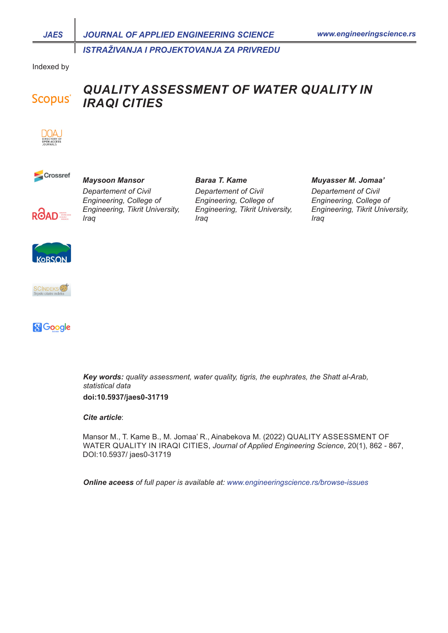*ISTRAŽIVANJA I PROJEKTOVANJA ZA PRIVREDU*

Indexed by

## *QUALITY ASSESSMENT OF WATER QUALITY IN*  **Scopus**<sup>®</sup> *IRAQI CITIES*

*Baraa T. Kame*





# *Maysoon Mansor*



*Departement of Civil Engineering, College of Engineering, Tikrit University, Iraq* 

*Departement of Civil Engineering, College of Engineering, Tikrit University, Iraq* 

#### *Muyasser M. Jomaa'*

*Departement of Civil Engineering, College of Engineering, Tikrit University, Iraq* 





**& Google** 

*Key words: quality assessment, water quality, tigris, the euphrates, the Shatt al-Arab, statistical data* **doi:10.5937/jaes0-31719**

*Cite article*:

Mansor M., T. Kame B., M. Jomaa' R., Ainabekova M. (2022) QUALITY ASSESSMENT OF WATER QUALITY IN IRAQI CITIES, *Journal of Applied Engineering Science*, 20(1), 862 - 867, DOI:10.5937/ jaes0-31719

*Online aceess of full paper is available at: www.engineeringscience.rs/browse-issues*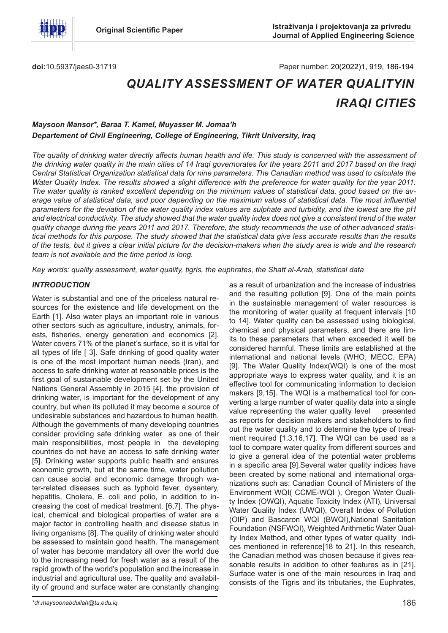

**doi:**10.5937/jaes0-31719

Paper number: 20(2022)1, 919, 186-194

# *QUALITY ASSESSMENT OF WATER QUALITYIN IRAQI CITIES*

# *Maysoon Mansor\*, Baraa T. Kamel, Muyasser M. Jomaa'h Departement of Civil Engineering, College of Engineering, Tikrit University, Iraq*

*The quality of drinking water directly affects human health and life. This study is concerned with the assessment of the drinking water quality in the main cities of 14 Iraqi governorates for the years 2011 and 2017 based on the Iraqi Central Statistical Organization statistical data for nine parameters. The Canadian method was used to calculate the Water Quality Index. The results showed a slight difference with the preference for water quality for the year 2011. The water quality is ranked excellent depending on the minimum values of statistical data, good based on the average value of statistical data, and poor depending on the maximum values of statistical data. The most influential parameters for the deviation of the water quality index values are sulphate and turbidity, and the lowest are the pH and electrical conductivity. The study showed that the water quality index does not give a consistent trend of the water quality change during the years 2011 and 2017. Therefore, the study recommends the use of other advanced statistical methods for this purpose. The study showed that the statistical data give less accurate results than the results of the tests, but it gives a clear initial picture for the decision-makers when the study area is wide and the research team is not available and the time period is long.*

*Key words: quality assessment, water quality, tigris, the euphrates, the Shatt al-Arab, statistical data*

## *INTRODUCTION*

Water is substantial and one of the priceless natural resources for the existence and life development on the Earth [1]. Also water plays an important role in various other sectors such as agriculture, industry, animals, forests, fisheries, energy generation and economics [2]. Water covers 71% of the planet's surface, so it is vital for all types of life [ 3]. Safe drinking of good quality water is one of the most important human needs (Iran), and access to safe drinking water at reasonable prices is the first goal of sustainable development set by the United Nations General Assembly in 2015 [4]. the provision of drinking water, is important for the development of any country, but when its polluted it may become a source of undesirable substances and hazardous to human health. Although the governments of many developing countries consider providing safe drinking water as one of their main responsibilities, most people in the developing countries do not have an access to safe drinking water [5]. Drinking water supports public health and ensures economic growth, but at the same time, water pollution can cause social and economic damage through water-related diseases such as typhoid fever, dysentery, hepatitis, Cholera, E. coli and polio, in addition to increasing the cost of medical treatment. [6,7]. The physical, chemical and biological properties of water are a major factor in controlling health and disease status in living organisms [8]. The quality of drinking water should be assessed to maintain good health. The management of water has become mandatory all over the world due to the increasing need for fresh water as a result of the rapid growth of the world's population and the increase in industrial and agricultural use. The quality and availability of ground and surface water are constantly changing

as a result of urbanization and the increase of industries and the resulting pollution [9]. One of the main points in the sustainable management of water resources is the monitoring of water quality at frequent intervals [10 to 14]. Water quality can be assessed using biological, chemical and physical parameters, and there are limits to these parameters that when exceeded it well be considered harmful. These limits are established at the international and national levels (WHO, MECC, EPA) [9]. The Water Quality Index(WQI) is one of the most appropriate ways to express water quality, and it is an effective tool for communicating information to decision makers [9,15]. The WQI is a mathematical tool for converting a large number of water quality data into a single value representing the water quality level presented as reports for decision makers and stakeholders to find out the water quality and to determine the type of treatment required [1,3,16,17]. The WQI can be used as a tool to compare water quality from different sources and to give a general idea of the potential water problems in a specific area [9].Several water quality indices have been created by some national and international organizations such as: Canadian Council of Ministers of the Environment WQI( CCME-WQI ), Oregon Water Quality Index (OWQI), Aquatic Toxicity Index (ATI), Universal Water Quality Index (UWQI), Overall Index of Pollution (OIP) and Bascaron WQI (BWQI),National Sanitation Foundation (NSFWQI), Weighted Arithmetic Water Quality Index Method, and other types of water quality indices mentioned in reference[18 to 21]. In this research, the Canadian method was chosen because it gives reasonable results in addition to other features as in [21]. Surface water is one of the main resources in Iraq and consists of the Tigris and its tributaries, the Euphrates,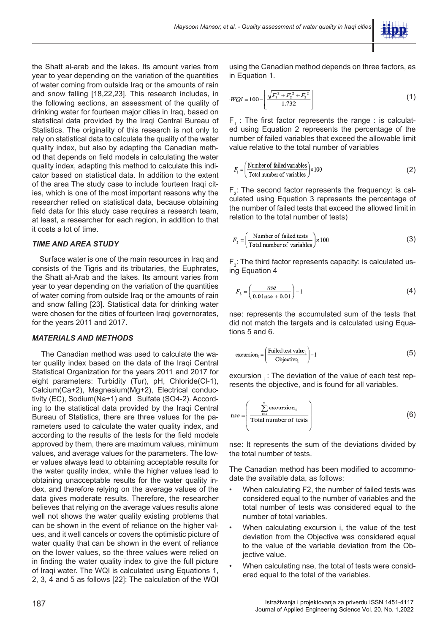the Shatt al-arab and the lakes. Its amount varies from year to year depending on the variation of the quantities of water coming from outside Iraq or the amounts of rain and snow falling [18,22,23]. This research includes, in the following sections, an assessment of the quality of drinking water for fourteen major cities in Iraq, based on statistical data provided by the Iraqi Central Bureau of Statistics. The originality of this research is not only to rely on statistical data to calculate the quality of the water quality index, but also by adapting the Canadian method that depends on field models in calculating the water quality index, adapting this method to calculate this indicator based on statistical data. In addition to the extent of the area The study case to include fourteen Iraqi cities, which is one of the most important reasons why the researcher relied on statistical data, because obtaining field data for this study case requires a research team, at least, a researcher for each region, in addition to that it costs a lot of time.

## *TIME AND AREA STUDY*

 Surface water is one of the main resources in Iraq and consists of the Tigris and its tributaries, the Euphrates, the Shatt al-Arab and the lakes. Its amount varies from year to year depending on the variation of the quantities of water coming from outside Iraq or the amounts of rain and snow falling [23]. Statistical data for drinking water were chosen for the cities of fourteen Iraqi governorates, for the years 2011 and 2017.

#### *MATERIALS AND METHODS*

 The Canadian method was used to calculate the water quality index based on the data of the Iraqi Central Statistical Organization for the years 2011 and 2017 for eight parameters: Turbidity (Tur), pH, Chloride(Cl-1), Calcium(Ca+2), Magnesium(Mg+2), Electrical conductivity (EC), Sodium(Na+1) and Sulfate (SO4-2). According to the statistical data provided by the Iraqi Central Bureau of Statistics, there are three values for the parameters used to calculate the water quality index, and according to the results of the tests for the field models approved by them, there are maximum values, minimum values, and average values for the parameters. The lower values always lead to obtaining acceptable results for the water quality index, while the higher values lead to obtaining unacceptable results for the water quality index, and therefore relying on the average values of the data gives moderate results. Therefore, the researcher believes that relying on the average values results alone well not shows the water quality existing problems that can be shown in the event of reliance on the higher values, and it well cancels or covers the optimistic picture of water quality that can be shown in the event of reliance on the lower values, so the three values were relied on in finding the water quality index to give the full picture of Iraqi water. The WQI is calculated using Equations 1, 2, 3, 4 and 5 as follows [22]: The calculation of the WQI

using the Canadian method depends on three factors, as in Equation 1.

$$
WQI = 100 - \left[ \frac{\sqrt{F_1^2 + F_2^2 + F_3^2}}{1.732} \right]
$$
 (1)

 $F_1$  : The first factor represents the range : is calculated using Equation 2 represents the percentage of the number of failed variables that exceed the allowable limit value relative to the total number of variables

$$
F_1 = \left(\frac{\text{Number of failed variables}}{\text{Total number of variables}}\right) \times 100\tag{2}
$$

 $F_2$ : The second factor represents the frequency: is calculated using Equation 3 represents the percentage of the number of failed tests that exceed the allowed limit in relation to the total number of tests)

$$
F_2 = \left(\frac{\text{Number of failed tests}}{\text{Total number of variables}}\right) \times 100\tag{3}
$$

 $\mathsf{F}_3$ : The third factor represents capacity: is calculated using Equation 4

$$
F_{3} = \left(\frac{nse}{0.01nse + 0.01}\right) - 1\tag{4}
$$

nse: represents the accumulated sum of the tests that did not match the targets and is calculated using Equations 5 and 6.

$$
\text{excursion}_{i} = \left(\frac{\text{Failed test value}_{i}}{\text{Objective}_{i}}\right) - 1\tag{5}
$$

excursion  $\frac{1}{1}$ : The deviation of the value of each test represents the objective, and is found for all variables.

$$
nse = \left(\frac{\sum_{i=1}^{n} \text{exclusion}_i}{\text{Total number of tests}}\right)
$$
 (6)

nse: It represents the sum of the deviations divided by the total number of tests.

The Canadian method has been modified to accommodate the available data, as follows:

- When calculating F2, the number of failed tests was considered equal to the number of variables and the total number of tests was considered equal to the number of total variables.
- When calculating excursion i, the value of the test deviation from the Objective was considered equal to the value of the variable deviation from the Objective value.
- When calculating nse, the total of tests were considered equal to the total of the variables.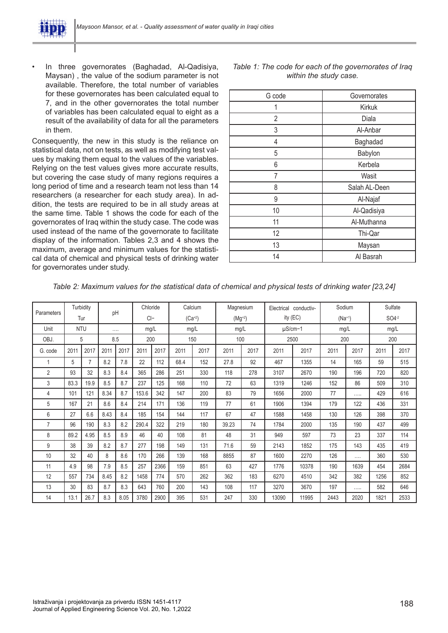

• In three governorates (Baghadad, Al-Qadisiya, Maysan) , the value of the sodium parameter is not available. Therefore, the total number of variables for these governorates has been calculated equal to 7, and in the other governorates the total number of variables has been calculated equal to eight as a result of the availability of data for all the parameters in them.

Consequently, the new in this study is the reliance on statistical data, not on tests, as well as modifying test values by making them equal to the values of the variables. Relying on the test values gives more accurate results, but covering the case study of many regions requires a long period of time and a research team not less than 14 researchers (a researcher for each study area). In addition, the tests are required to be in all study areas at the same time. Table 1 shows the code for each of the governorates of Iraq within the study case. The code was used instead of the name of the governorate to facilitate display of the information. Tables 2,3 and 4 shows the maximum, average and minimum values for the statistical data of chemical and physical tests of drinking water for governorates under study.

| G code         | Governorates  |  |  |  |  |  |
|----------------|---------------|--|--|--|--|--|
| 1              | Kirkuk        |  |  |  |  |  |
| $\overline{2}$ | Diala         |  |  |  |  |  |
| 3              | Al-Anbar      |  |  |  |  |  |
| 4              | Baghadad      |  |  |  |  |  |
| 5              | Babylon       |  |  |  |  |  |
| 6              | Kerbela       |  |  |  |  |  |
| 7              | Wasit         |  |  |  |  |  |
| 8              | Salah AL-Deen |  |  |  |  |  |
| 9              | Al-Najaf      |  |  |  |  |  |
| 10             | Al-Qadisiya   |  |  |  |  |  |
| 11             | Al-Muthanna   |  |  |  |  |  |
| 12             | Thi-Qar       |  |  |  |  |  |
| 13             | Maysan        |  |  |  |  |  |
| 14             | Al Basrah     |  |  |  |  |  |

*Table 1: The code for each of the governorates of Iraq within the study case.*

| Parameters     |            | Turbidity | pH   |      | Chloride     |      |      | Calcium     | Magnesium   |              | Electrical conductiv- |       | Sodium      |      | Sulfate |      |
|----------------|------------|-----------|------|------|--------------|------|------|-------------|-------------|--------------|-----------------------|-------|-------------|------|---------|------|
|                |            | Tur       |      |      | $Cl-$        |      |      | $(Ca^{+2})$ | $(Mg^{+2})$ |              | ity (EC)              |       | $(Na^{+1})$ |      | $SO4-2$ |      |
| Unit           | <b>NTU</b> |           |      | .    | mg/L<br>mg/L |      |      | mg/L        |             | $\mu$ S/cm-1 |                       | mg/L  |             | mg/L |         |      |
| OBJ.           |            | 5         |      | 8.5  | 200          |      | 150  |             | 100         |              |                       | 2500  | 200         |      | 200     |      |
| G. code        | 2011       | 2017      | 2011 | 2017 | 2011         | 2017 | 2011 | 2017        | 2011        | 2017         | 2011                  | 2017  | 2011        | 2017 | 2011    | 2017 |
|                | 5          | 7         | 8.2  | 7.8  | 22           | 112  | 68.4 | 152         | 27.8        | 92           | 467                   | 1355  | 14          | 165  | 59      | 515  |
| $\overline{2}$ | 93         | 32        | 8.3  | 8.4  | 365          | 286  | 251  | 330         | 118         | 278          | 3107                  | 2670  | 190         | 196  | 720     | 820  |
| 3              | 83.3       | 19.9      | 8.5  | 8.7  | 237          | 125  | 168  | 110         | 72          | 63           | 1319                  | 1246  | 152         | 86   | 509     | 310  |
| 4              | 101        | 121       | 8.34 | 8.7  | 153.6        | 342  | 147  | 200         | 83          | 79           | 1656                  | 2000  | 77          | .    | 429     | 616  |
| 5              | 167        | 21        | 8.6  | 8.4  | 214          | 171  | 136  | 119         | 77          | 61           | 1906                  | 1394  | 179         | 122  | 436     | 331  |
| 6              | 27         | 6.6       | 8.43 | 8.4  | 185          | 154  | 144  | 117         | 67          | 47           | 1588                  | 1458  | 130         | 126  | 398     | 370  |
| $\overline{7}$ | 96         | 190       | 8.3  | 8.2  | 290.4        | 322  | 219  | 180         | 39.23       | 74           | 1784                  | 2000  | 135         | 190  | 437     | 499  |
| 8              | 89.2       | 4.95      | 8.5  | 8.9  | 46           | 40   | 108  | 81          | 48          | 31           | 949                   | 597   | 73          | 23   | 337     | 114  |
| 9              | 38         | 39        | 8.2  | 8.7  | 277          | 198  | 149  | 131         | 71.6        | 59           | 2143                  | 1852  | 175         | 143  | 435     | 419  |
| 10             | 32         | 40        | 8    | 8.6  | 170          | 266  | 139  | 168         | 8855        | 87           | 1600                  | 2270  | 126         | .    | 360     | 530  |
| 11             | 4.9        | 98        | 7.9  | 8.5  | 257          | 2366 | 159  | 851         | 63          | 427          | 1776                  | 10378 | 190         | 1639 | 454     | 2684 |
| 12             | 557        | 734       | 8.45 | 8.2  | 1458         | 774  | 570  | 262         | 362         | 183          | 6270                  | 4510  | 342         | 382  | 1256    | 852  |
| 13             | 30         | 83        | 8.7  | 8.3  | 643          | 760  | 200  | 143         | 108         | 117          | 3270                  | 3670  | 197         | .    | 582     | 646  |
| 14             | 13.1       | 26.7      | 8.3  | 8.05 | 3780         | 2900 | 395  | 531         | 247         | 330          | 13090                 | 11995 | 2443        | 2020 | 1821    | 2533 |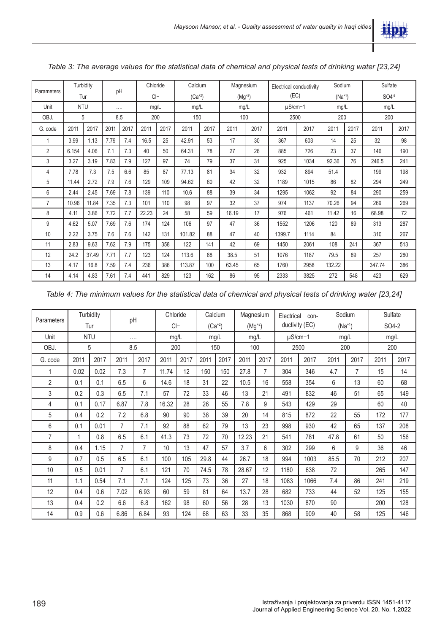

| Parameters     |            | Turbidity | pH   |      | Chloride            |      | Calcium    |      | Magnesium |      | Electrical conductivity |      | Sodium     |      | Sulfate |      |
|----------------|------------|-----------|------|------|---------------------|------|------------|------|-----------|------|-------------------------|------|------------|------|---------|------|
|                | Tur        |           |      |      | $Cl-$<br>$(Ca^{2})$ |      | $(Mg^{2})$ |      | (EC)      |      | $(Na^{+1})$             |      | $SO4^{-2}$ |      |         |      |
| Unit           | <b>NTU</b> |           | .    |      | mg/L                |      | mg/L       |      | mg/L      |      | $\mu$ S/cm-1            |      | mg/L       |      | mg/L    |      |
| OBJ.           |            | 5         | 8.5  |      | 200                 |      | 150        |      | 100       |      | 2500                    |      | 200        |      | 200     |      |
| G. code        | 2011       | 2017      | 2011 | 2017 | 2011                | 2017 | 2011       | 2017 | 2011      | 2017 | 2011                    | 2017 | 2011       | 2017 | 2011    | 2017 |
| 1              | 3.99       | 1.13      | 7.79 | 7.4  | 16.5                | 25   | 42.91      | 53   | 17        | 30   | 367                     | 603  | 14         | 25   | 32      | 98   |
| $\overline{2}$ | 6.154      | 4.06      | 7.1  | 7.3  | 40                  | 50   | 64.31      | 78   | 27        | 26   | 885                     | 726  | 23         | 37   | 146     | 190  |
| 3              | 3.27       | 3.19      | 7.83 | 7.9  | 127                 | 97   | 74         | 79   | 37        | 31   | 925                     | 1034 | 92.36      | 76   | 246.5   | 241  |
| 4              | 7.78       | 7.3       | 7.5  | 6.6  | 85                  | 87   | 77.13      | 81   | 34        | 32   | 932                     | 894  | 51.4       |      | 199     | 198  |
| 5              | 11.44      | 2.72      | 7.9  | 7.6  | 129                 | 109  | 94.62      | 60   | 42        | 32   | 1189                    | 1015 | 86         | 82   | 294     | 249  |
| 6              | 2.44       | 2.45      | 7.69 | 7.8  | 139                 | 110  | 10.6       | 88   | 39        | 34   | 1295                    | 1062 | 92         | 84   | 290     | 259  |
| 7              | 10.96      | 11.84     | 7.35 | 7.3  | 101                 | 110  | 98         | 97   | 32        | 37   | 974                     | 1137 | 70.26      | 94   | 269     | 269  |
| 8              | 4.11       | 3.86      | 7.72 | 7.7  | 22.23               | 24   | 58         | 59   | 16.19     | 17   | 976                     | 461  | 11.42      | 16   | 68.98   | 72   |
| 9              | 4.62       | 5.07      | 7.69 | 7.6  | 174                 | 124  | 106        | 97   | 47        | 36   | 1552                    | 1206 | 120        | 89   | 313     | 287  |
| 10             | 2.22       | 3.75      | 7.6  | 7.6  | 142                 | 131  | 101.82     | 88   | 47        | 40   | 1399.7                  | 1114 | 84         |      | 310     | 267  |
| 11             | 2.83       | 9.63      | 7.62 | 7.9  | 175                 | 358  | 122        | 141  | 42        | 69   | 1450                    | 2061 | 108        | 241  | 367     | 513  |
| 12             | 24.2       | 37.49     | 7.71 | 7.7  | 123                 | 124  | 113.6      | 88   | 38.5      | 51   | 1076                    | 1187 | 79.5       | 89   | 257     | 280  |
| 13             | 4.17       | 16.8      | 7.59 | 7.4  | 236                 | 386  | 113.87     | 100  | 63.45     | 65   | 1760                    | 2958 | 132.22     |      | 347.74  | 386  |
| 14             | 4.14       | 4.83      | 7.61 | 7.4  | 441                 | 829  | 123        | 162  | 86        | 95   | 2333                    | 3825 | 272        | 548  | 423     | 629  |

*Table 3: The average values for the statistical data of chemical and physical tests of drinking water [23,24]*

*Table 4: The minimum values for the statistical data of chemical and physical tests of drinking water [23,24]*

|                   |      | Turbidity  | pH   |      | Chloride |      |      | Calcium    | Magnesium  |      | Electrical     | con- |             | Sodium | Sulfate |      |
|-------------------|------|------------|------|------|----------|------|------|------------|------------|------|----------------|------|-------------|--------|---------|------|
| <b>Parameters</b> |      | Tur        |      |      | $Cl-$    |      |      | $(Ca^{2})$ | $(Mg^{2})$ |      | ductivity (EC) |      | $(Na^{+1})$ |        | SO4-2   |      |
| Unit              |      | <b>NTU</b> |      | .    | mg/L     |      |      | mg/L       | mg/L       |      | $\mu$ S/cm-1   |      | mg/L        |        | mg/L    |      |
| OBJ.              |      | 5          |      | 8.5  | 200      |      |      | 150        | 100        |      |                | 2500 | 200         |        | 200     |      |
| G. code           | 2011 | 2017       | 2011 | 2017 | 2011     | 2017 | 2011 | 2017       | 2011       | 2017 | 2011           | 2017 | 2011        | 2017   | 2011    | 2017 |
| 1                 | 0.02 | 0.02       | 7.3  | 7    | 11.74    | 12   | 150  | 150        | 27.8       | 7    | 304            | 346  | 4.7         | 7      | 15      | 14   |
| $\overline{2}$    | 0.1  | 0.1        | 6.5  | 6    | 14.6     | 18   | 31   | 22         | 10.5       | 16   | 558            | 354  | 6           | 13     | 60      | 68   |
| 3                 | 0.2  | 0.3        | 6.5  | 7.1  | 57       | 72   | 33   | 46         | 13         | 21   | 491            | 832  | 46          | 51     | 65      | 149  |
| 4                 | 0.1  | 0.17       | 6.87 | 7.8  | 16.32    | 28   | 26   | 55         | 7.8        | 9    | 543            | 429  | 29          |        | 60      | 40   |
| 5                 | 0.4  | 0.2        | 7.2  | 6.8  | 90       | 90   | 38   | 39         | 20         | 14   | 815            | 872  | 22          | 55     | 172     | 177  |
| 6                 | 0.1  | 0.01       | 7    | 7.1  | 92       | 88   | 62   | 79         | 13         | 23   | 998            | 930  | 42          | 65     | 137     | 208  |
| $\overline{7}$    | 1    | 0.8        | 6.5  | 6.1  | 41.3     | 73   | 72   | 70         | 12.23      | 21   | 541            | 781  | 47.8        | 61     | 50      | 156  |
| 8                 | 0.4  | 1.15       | 7    | 7    | 10       | 13   | 47   | 57         | 3.7        | 6    | 302            | 299  | 6           | 9      | 36      | 46   |
| 9                 | 0.7  | 0.5        | 6.5  | 6.1  | 100      | 105  | 29.8 | 44         | 26.7       | 18   | 994            | 1003 | 85.5        | 70     | 212     | 207  |
| 10                | 0.5  | 0.01       | 7    | 6.1  | 121      | 70   | 74.5 | 78         | 28.67      | 12   | 1180           | 638  | 72          |        | 265     | 147  |
| 11                | 1.1  | 0.54       | 7.1  | 7.1  | 124      | 125  | 73   | 36         | 27         | 18   | 1083           | 1066 | 7.4         | 86     | 241     | 219  |
| 12                | 0.4  | 0.6        | 7.02 | 6.93 | 60       | 59   | 81   | 64         | 13.7       | 28   | 682            | 733  | 44          | 52     | 125     | 155  |
| 13                | 0.4  | 0.2        | 6.6  | 6.8  | 162      | 98   | 60   | 56         | 28         | 13   | 1030           | 870  | 90          |        | 200     | 128  |
| 14                | 0.9  | 0.6        | 6.86 | 6.84 | 93       | 124  | 68   | 63         | 33         | 35   | 868            | 909  | 40          | 58     | 125     | 146  |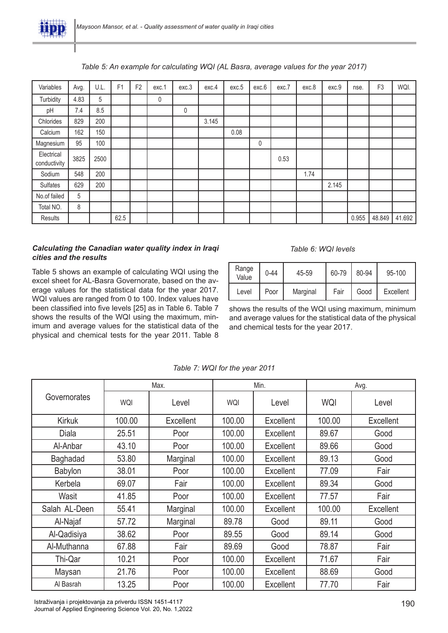

## *Table 5: An example for calculating WQI (AL Basra, average values for the year 2017)*

| Variables                  | Avg. | U.L. | F <sub>1</sub> | F <sub>2</sub> | exc.1 | exc.3 | exc.4 | exc.5 | exc.6 | exc.7 | exc.8 | exc.9 | nse.  | F <sub>3</sub> | WQI.   |
|----------------------------|------|------|----------------|----------------|-------|-------|-------|-------|-------|-------|-------|-------|-------|----------------|--------|
| Turbidity                  | 4.83 | 5    |                |                | 0     |       |       |       |       |       |       |       |       |                |        |
| pH                         | 7.4  | 8.5  |                |                |       | 0     |       |       |       |       |       |       |       |                |        |
| Chlorides                  | 829  | 200  |                |                |       |       | 3.145 |       |       |       |       |       |       |                |        |
| Calcium                    | 162  | 150  |                |                |       |       |       | 0.08  |       |       |       |       |       |                |        |
| Magnesium                  | 95   | 100  |                |                |       |       |       |       | 0     |       |       |       |       |                |        |
| Electrical<br>conductivity | 3825 | 2500 |                |                |       |       |       |       |       | 0.53  |       |       |       |                |        |
| Sodium                     | 548  | 200  |                |                |       |       |       |       |       |       | 1.74  |       |       |                |        |
| Sulfates                   | 629  | 200  |                |                |       |       |       |       |       |       |       | 2.145 |       |                |        |
| No.of failed               | 5    |      |                |                |       |       |       |       |       |       |       |       |       |                |        |
| Total NO.                  | 8    |      |                |                |       |       |       |       |       |       |       |       |       |                |        |
| Results                    |      |      | 62.5           |                |       |       |       |       |       |       |       |       | 0.955 | 48.849         | 41.692 |

## *Calculating the Canadian water quality index in Iraqi cities and the results*

Table 5 shows an example of calculating WQI using the excel sheet for AL-Basra Governorate, based on the average values for the statistical data for the year 2017. WQI values are ranged from 0 to 100. Index values have been classified into five levels [25] as in Table 6. Table 7 shows the results of the WQI using the maximum, minimum and average values for the statistical data of the physical and chemical tests for the year 2011. Table 8

## *Table 6: WQI levels*

| Range<br>Value | $0 - 44$ | 45-59    | 60-79 | 80-94 | $95-100$  |  |
|----------------|----------|----------|-------|-------|-----------|--|
| Level          | Poor     | Marginal | Fair  | Good  | Excellent |  |

shows the results of the WQI using maximum, minimum and average values for the statistical data of the physical and chemical tests for the year 2017.

|               |        | Max.      |        | Min.             | Avg.   |                  |  |
|---------------|--------|-----------|--------|------------------|--------|------------------|--|
| Governorates  | WQI    | Level     | WQI    | Level            | WQI    | Level            |  |
| <b>Kirkuk</b> | 100.00 | Excellent | 100.00 | <b>Excellent</b> | 100.00 | <b>Excellent</b> |  |
| Diala         | 25.51  | Poor      | 100.00 | Excellent        | 89.67  | Good             |  |
| Al-Anbar      | 43.10  | Poor      | 100.00 | Excellent        | 89.66  | Good             |  |
| Baghadad      | 53.80  | Marginal  | 100.00 | Excellent        | 89.13  | Good             |  |
| Babylon       | 38.01  | Poor      | 100.00 | Excellent        | 77.09  | Fair             |  |
| Kerbela       | 69.07  | Fair      | 100.00 | <b>Excellent</b> | 89.34  | Good             |  |
| Wasit         | 41.85  | Poor      | 100.00 | Excellent        | 77.57  | Fair             |  |
| Salah AL-Deen | 55.41  | Marginal  | 100.00 | Excellent        | 100.00 | Excellent        |  |
| Al-Najaf      | 57.72  | Marginal  | 89.78  | Good             | 89.11  | Good             |  |
| Al-Qadisiya   | 38.62  | Poor      | 89.55  | Good             | 89.14  | Good             |  |
| Al-Muthanna   | 67.88  | Fair      | 89.69  | Good             | 78.87  | Fair             |  |
| Thi-Qar       | 10.21  | Poor      | 100.00 | Excellent        | 71.67  | Fair             |  |
| Maysan        | 21.76  | Poor      | 100.00 | Excellent        | 88.69  | Good             |  |
| Al Basrah     | 13.25  | Poor      | 100.00 | Excellent        | 77.70  | Fair             |  |

*Table 7: WQI for the year 2011*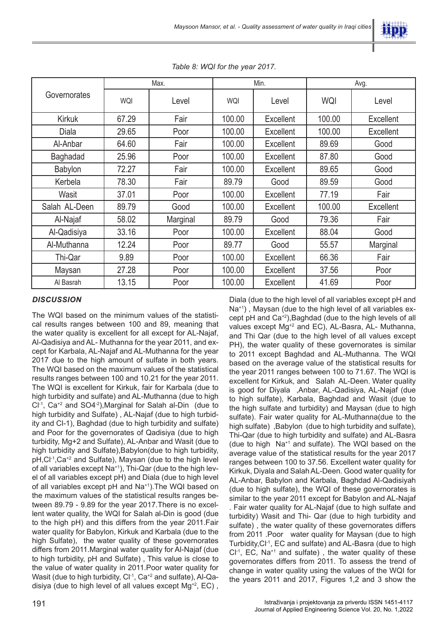

|               |       | Max.     |        | Min.             |        | Avg.             |
|---------------|-------|----------|--------|------------------|--------|------------------|
| Governorates  | WQI   | Level    | WQI    | Level            | WQI    | Level            |
| <b>Kirkuk</b> | 67.29 | Fair     | 100.00 | <b>Excellent</b> | 100.00 | <b>Excellent</b> |
| Diala         | 29.65 | Poor     | 100.00 | <b>Excellent</b> | 100.00 | Excellent        |
| Al-Anbar      | 64.60 | Fair     | 100.00 | <b>Excellent</b> | 89.69  | Good             |
| Baghadad      | 25.96 | Poor     | 100.00 | Excellent        | 87.80  | Good             |
| Babylon       | 72.27 | Fair     | 100.00 | Excellent        | 89.65  | Good             |
| Kerbela       | 78.30 | Fair     | 89.79  | Good             | 89.59  | Good             |
| Wasit         | 37.01 | Poor     | 100.00 | Excellent        | 77.19  | Fair             |
| Salah AL-Deen | 89.79 | Good     | 100.00 | Excellent        | 100.00 | Excellent        |
| Al-Najaf      | 58.02 | Marginal | 89.79  | Good             | 79.36  | Fair             |
| Al-Qadisiya   | 33.16 | Poor     | 100.00 | Excellent        | 88.04  | Good             |
| Al-Muthanna   | 12.24 | Poor     | 89.77  | Good             | 55.57  | Marginal         |
| Thi-Qar       | 9.89  | Poor     | 100.00 | <b>Excellent</b> | 66.36  | Fair             |
| Maysan        | 27.28 | Poor     | 100.00 | <b>Excellent</b> | 37.56  | Poor             |
| Al Basrah     | 13.15 | Poor     | 100.00 | Excellent        | 41.69  | Poor             |

*Table 8: WQI for the year 2017.*

#### *DISCUSSION*

The WQI based on the minimum values of the statistical results ranges between 100 and 89, meaning that the water quality is excellent for all except for AL-Najaf, Al-Qadisiya and AL- Muthanna for the year 2011, and except for Karbala, AL-Najaf and AL-Muthanna for the year 2017 due to the high amount of sulfate in both years. The WQI based on the maximum values of the statistical results ranges between 100 and 10.21 for the year 2011. The WQI is excellent for Kirkuk, fair for Karbala (due to high turbidity and sulfate) and AL-Muthanna (due to high  $Cl<sup>-1</sup>$ , Ca<sup>+2</sup> and SO4<sup>-2</sup>), Marginal for Salah al-Din (due to high turbidity and Sulfate) , AL-Najaf (due to high turbidity and Cl-1), Baghdad (due to high turbidity and sulfate) and Poor for the governorates of Qadisiya (due to high turbidity, Mg+2 and Sulfate), AL-Anbar and Wasit (due to high turbidity and Sulfate), Babylon(due to high turbidity, pH, Cl<sup>-1</sup>, Ca<sup>+2</sup> and Sulfate), Maysan (due to the high level of all variables except Na<sup>+1</sup>), Thi-Qar (due to the high level of all variables except pH) and Diala (due to high level of all variables except pH and Na+1).The WQI based on the maximum values of the statistical results ranges between 89.79 - 9.89 for the year 2017.There is no excellent water quality, the WQI for Salah al-Din is good (due to the high pH) and this differs from the year 2011.Fair water quality for Babylon, Kirkuk and Karbala (due to the high Sulfate), the water quality of these governorates differs from 2011.Marginal water quality for Al-Najaf (due to high turbidity, pH and Sulfate) , This value is close to the value of water quality in 2011.Poor water quality for Wasit (due to high turbidity,  $Cl^{-1}$ ,  $Ca^{+2}$  and sulfate), Al-Qadisiya (due to high level of all values except  $Mg^{2}$ , EC), Na<sup>+1</sup>), Maysan (due to the high level of all variables except pH and  $Ca^{+2}$ ), Baghdad (due to the high levels of all values except Mg<sup>+2</sup> and EC), AL-Basra, AL- Muthanna, and Thi Qar (due to the high level of all values except PH), the water quality of these governorates is similar to 2011 except Baghdad and AL-Muthanna. The WQI based on the average value of the statistical results for the year 2011 ranges between 100 to 71.67. The WQI is excellent for Kirkuk, and Salah AL-Deen. Water quality is good for Diyala ,Anbar, AL-Qadisiya, AL-Najaf (due to high sulfate), Karbala, Baghdad and Wasit (due to the high sulfate and turbidity) and Maysan (due to high sulfate). Fair water quality for AL-Muthanna(due to the high sulfate) ,Babylon (due to high turbidity and sulfate), Thi-Qar (due to high turbidity and sulfate) and AL-Basra (due to high Na+1 and sulfate). The WQI based on the average value of the statistical results for the year 2017 ranges between 100 to 37.56. Excellent water quality for Kirkuk, Diyala and Salah AL-Deen. Good water quality for AL-Anbar, Babylon and Karbala, Baghdad Al-Qadisiyah (due to high sulfate), the WQI of these governorates is similar to the year 2011 except for Babylon and AL-Najaf . Fair water quality for AL-Najaf (due to high sulfate and turbidity) Wasit and Thi- Qar (due to high turbidity and sulfate) , the water quality of these governorates differs from 2011 .Poor water quality for Maysan (due to high Turbidity,Cl-1, EC and sulfate) and AL-Basra (due to high  $Cl<sup>-1</sup>$ , EC, Na<sup>+1</sup> and sulfate), the water quality of these governorates differs from 2011. To assess the trend of change in water quality using the values of the WQI for the years 2011 and 2017, Figures 1,2 and 3 show the

Diala (due to the high level of all variables except pH and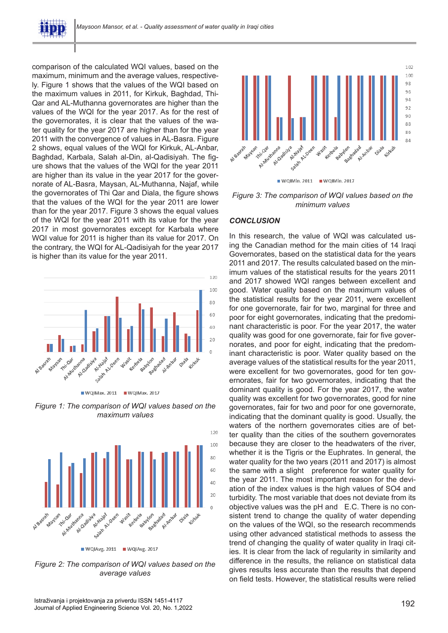

comparison of the calculated WQI values, based on the maximum, minimum and the average values, respectively. Figure 1 shows that the values of the WQI based on the maximum values in 2011, for Kirkuk, Baghdad, Thi-Qar and AL-Muthanna governorates are higher than the values of the WQI for the year 2017. As for the rest of the governorates, it is clear that the values of the water quality for the year 2017 are higher than for the year 2011 with the convergence of values in AL-Basra. Figure 2 shows, equal values of the WQI for Kirkuk, AL-Anbar, Baghdad, Karbala, Salah al-Din, al-Qadisiyah. The figure shows that the values of the WQI for the year 2011 are higher than its value in the year 2017 for the governorate of AL-Basra, Maysan, AL-Muthanna, Najaf, while the governorates of Thi Qar and Diala, the figure shows that the values of the WQI for the year 2011 are lower than for the year 2017. Figure 3 shows the equal values of the WQI for the year 2011 with its value for the year 2017 in most governorates except for Karbala where WQI value for 2011 is higher than its value for 2017. On the contrary, the WQI for AL-Qadisiyah for the year 2017 is higher than its value for the year 2011.





*Figure 1: The comparison of WQI values based on the maximum values*



*Figure 2: The comparison of WQI values based on the average values*



*Figure 3: The comparison of WQI values based on the minimum values*

#### *CONCLUSION*

In this research, the value of WQI was calculated using the Canadian method for the main cities of 14 Iraqi Governorates, based on the statistical data for the years 2011 and 2017. The results calculated based on the minimum values of the statistical results for the years 2011 and 2017 showed WQI ranges between excellent and good. Water quality based on the maximum values of the statistical results for the year 2011, were excellent for one governorate, fair for two, marginal for three and poor for eight governorates, indicating that the predominant characteristic is poor. For the year 2017, the water quality was good for one governorate, fair for five governorates, and poor for eight, indicating that the predominant characteristic is poor. Water quality based on the average values of the statistical results for the year 2011, were excellent for two governorates, good for ten governorates, fair for two governorates, indicating that the dominant quality is good. For the year 2017, the water quality was excellent for two governorates, good for nine governorates, fair for two and poor for one governorate, indicating that the dominant quality is good. Usually, the waters of the northern governorates cities are of better quality than the cities of the southern governorates because they are closer to the headwaters of the river, whether it is the Tigris or the Euphrates. In general, the water quality for the two years (2011 and 2017) is almost the same with a slight preference for water quality for the year 2011. The most important reason for the deviation of the index values is the high values of SO4 and turbidity. The most variable that does not deviate from its objective values was the pH and E.C. There is no consistent trend to change the quality of water depending on the values of the WQI, so the research recommends using other advanced statistical methods to assess the trend of changing the quality of water quality in Iraqi cities. It is clear from the lack of regularity in similarity and difference in the results, the reliance on statistical data gives results less accurate than the results that depend on field tests. However, the statistical results were relied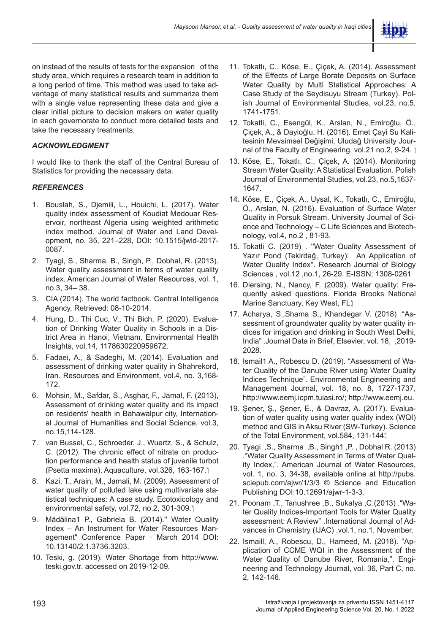

on instead of the results of tests for the expansion of the study area, which requires a research team in addition to a long period of time. This method was used to take advantage of many statistical results and summarize them with a single value representing these data and give a clear initial picture to decision makers on water quality in each governorate to conduct more detailed tests and take the necessary treatments.

# *ACKNOWLEDGMENT*

I would like to thank the staff of the Central Bureau of Statistics for providing the necessary data.

# *REFERENCES*

- 1. Bouslah, S., Djemili, L., Houichi, L. (2017). Water quality index assessment of Koudiat Medouar Reservoir, northeast Algeria using weighted arithmetic index method. Journal of Water and Land Development, no. 35, 221–228, DOI: 10.1515/jwld-2017- 0087.
- 2. Tyagi, S., Sharma, B., Singh, P., Dobhal, R. (2013). Water quality assessment in terms of water quality index. American Journal of Water Resources, vol. 1, no.3, 34– 38.
- 3. CIA (2014). The world factbook. Central Intelligence Agency, Retrieved: 08-10-2014.
- 4. Hung, D., Thi Cuc, V., Thi Bich, P. (2020). Evaluation of Drinking Water Quality in Schools in a District Area in Hanoi, Vietnam. Environmental Health Insights, vol.14, 1178630220959672.
- 5. Fadaei, A., & Sadeghi, M. (2014). Evaluation and assessment of drinking water quality in Shahrekord, Iran. Resources and Environment, vol.4, no. 3,168- 172.
- 6. Mohsin, M., Safdar, S., Asghar, F., Jamal, F. (2013), Assessment of drinking water quality and its impact on residents' health in Bahawalpur city, International Journal of Humanities and Social Science, vol.3, no.15,114-128.
- 7. van Bussel, C., Schroeder, J., Wuertz, S., & Schulz, C. (2012). The chronic effect of nitrate on production performance and health status of juvenile turbot (Psetta maxima). Aquaculture, vol.326, 163-167.
- 8. Kazi, T., Arain, M., Jamali, M. (2009). Assessment of water quality of polluted lake using multivariate statistical techniques: A case study. Ecotoxicology and environmental safety, vol.72, no.2, 301-309.
- 9. Mădălina1 P., Gabriela B. (2014).'' Water Quality Index – An Instrument for Water Resources Management" Conference Paper · March 2014 DOI: 10.13140/2.1.3736.3203.
- 10. Teski, g. (2019). Water Shortage from http://www. teski.gov.tr. accessed on 2019-12-09.
- 11. Tokatlı, C., Köse, E., Çiçek, A. (2014). Assessment of the Effects of Large Borate Deposits on Surface Water Quality by Multi Statistical Approaches: A Case Study of the Seydisuyu Stream (Turkey). Polish Journal of Environmental Studies, vol.23, no.5, 1741-1751.
- 12. Tokatli, C., Esengül, K., Arslan, N., Emiroğlu, Ö., Çiçek, A., & Dayioğlu, H. (2016). Emet Çayi Su Kalitesinin Mevsimsel Değişimi. Uludağ University Journal of the Faculty of Engineering, vol.21 no.2, 9-24. 1
- 13. Köse, E., Tokatlı, C., Çiçek, A. (2014). Monitoring Stream Water Quality: A Statistical Evaluation. Polish Journal of Environmental Studies, vol.23, no.5,1637- 1647.
- 14. Köse, E., Çiçek, A., Uysal, K., Tokatlı, C., Emiroğlu, Ö., Arslan, N. (2016). Evaluation of Surface Water Quality in Porsuk Stream. University Journal of Science and Technology – C Life Sciences and Biotechnology, vol.4, no.2 , 81-93.
- 15. Tokatli C. (2019) . ''Water Quality Assessment of Yazır Pond (Tekirdağ, Turkey): An Application of Water Quality Index''. Research Journal of Biology Sciences , vol.12 ,no.1, 26-29. E-ISSN: 1308-0261
- 16. Diersing, N., Nancy, F. (2009). Water quality: Frequently asked questions. Florida Brooks National Marine Sanctuary, Key West, FL.1
- 17. Acharya, S.,Shama S., Khandegar V. (2018) ."Assessment of groundwater quality by water quality indices for irrigation and drinking in South West Delhi, India" .Journal Data in Brief, Elsevier, vol. 18, ,2019- 2028.
- 18. Ismail1 A., Robescu D. (2019). "Assessment of Water Quality of the Danube River using Water Quality Indices Technique". Environmental Engineering and Management Journal, vol. 18, no. 8, 1727-1737, http://www.eemj.icpm.tuiasi.ro/; http://www.eemj.eu.
- 19. Şener, Ş., Şener, E., & Davraz, A. (2017). Evaluation of water quality using water quality index (WQI) method and GIS in Aksu River (SW-Turkey). Science of the Total Environment, vol.584, 131-144.
- 20. Tyagi ,S., Sharma ,B., Singh1 ,P. , Dobhal R. (2013) ."Water Quality Assessment in Terms of Water Quality Index,". American Journal of Water Resources, vol. 1, no. 3, 34-38, available online at http://pubs. sciepub.com/ajwr/1/3/3 © Science and Education Publishing DOI:10.12691/ajwr-1-3-3.
- 21. Poonam ,T., Tanushree ,B., Sukalya ,C.(2013) ."Water Quality Indices-Important Tools for Water Quality assessment: A Review" .International Journal of Advances in Chemistry (IJAC) ,vol.1, no.1, November.
- 22. Ismaill, A., Robescu, D., Hameed, M. (2018). "Application of CCME WQI in the Assessment of the Water Quality of Danube River, Romania,". Engineering and Technology Journal, vol. 36, Part C, no. 2, 142-146.